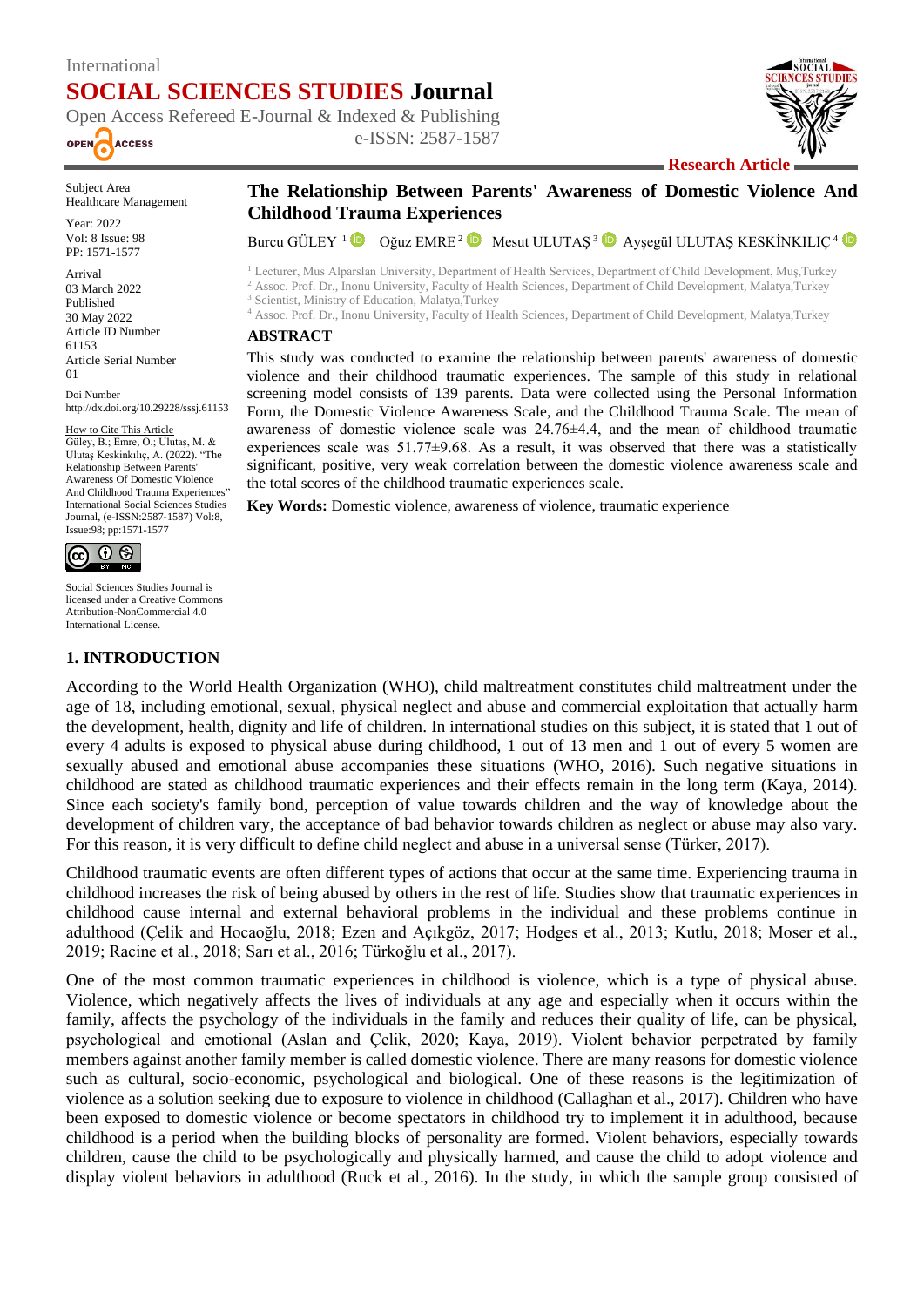# International **SOCIAL SCIENCES STUDIES Journal**



Open Access Refereed E-Journal & Indexed & Publishing e-ISSN: 2587-1587



**Research Article**

Subject Area Healthcare Management

Year: 2022 Vol: 8 Issue: 98 PP: 1571-1577

Arrival 03 March 2022 Published 30 May 2022 Article ID Number 61153 Article Serial Number 01

Doi Number http://dx.doi.org/10.29228/sssj.61153

#### How to Cite This Article

Güley, B.; Emre, O.; Ulutaş, M. & Ulutaş Keskinkılıç, A. (2022). "The Relationship Between Parents' Awareness Of Domestic Violence And Childhood Trauma Experiences" International Social Sciences Studies Journal, (e-ISSN:2587-1587) Vol:8, Issue:98; pp:1571-1577



Social Sciences Studies Journal is licensed under a Creative Commons Attribution-NonCommercial 4.0 International License.

#### **1. INTRODUCTION**

**The Relationship Between Parents' Awareness of Domestic Violence And Childhood Trauma Experiences**

BurcuGÜLEY <sup>1</sup> <sup>in</sup> Oğuz EMRE <sup>2</sup> in Mesut ULUTAŞ <sup>3</sup> in Ayşegül ULUTAŞ KESKİNKILIÇ <sup>4</sup>

<sup>1</sup> Lecturer, Mus Alparslan University, Department of Health Services, Department of Child Development, Muş,Turkey <sup>2</sup> Assoc. Prof. Dr., Inonu University, Faculty of Health Sciences, Department of Child Development, Malatya,Turkey <sup>3</sup> Scientist, Ministry of Education, Malatya, Turkey

<sup>4</sup> Assoc. Prof. Dr., Inonu University, Faculty of Health Sciences, Department of Child Development, Malatya,Turkey

#### **ABSTRACT**

This study was conducted to examine the relationship between parents' awareness of domestic violence and their childhood traumatic experiences. The sample of this study in relational screening model consists of 139 parents. Data were collected using the Personal Information Form, the Domestic Violence Awareness Scale, and the Childhood Trauma Scale. The mean of awareness of domestic violence scale was 24.76±4.4, and the mean of childhood traumatic experiences scale was  $51.77\pm9.68$ . As a result, it was observed that there was a statistically significant, positive, very weak correlation between the domestic violence awareness scale and the total scores of the childhood traumatic experiences scale.

**Key Words:** Domestic violence, awareness of violence, traumatic experience

According to the World Health Organization (WHO), child maltreatment constitutes child maltreatment under the age of 18, including emotional, sexual, physical neglect and abuse and commercial exploitation that actually harm the development, health, dignity and life of children. In international studies on this subject, it is stated that 1 out of every 4 adults is exposed to physical abuse during childhood, 1 out of 13 men and 1 out of every 5 women are sexually abused and emotional abuse accompanies these situations (WHO, 2016). Such negative situations in childhood are stated as childhood traumatic experiences and their effects remain in the long term (Kaya, 2014). Since each society's family bond, perception of value towards children and the way of knowledge about the development of children vary, the acceptance of bad behavior towards children as neglect or abuse may also vary. For this reason, it is very difficult to define child neglect and abuse in a universal sense (Türker, 2017).

Childhood traumatic events are often different types of actions that occur at the same time. Experiencing trauma in childhood increases the risk of being abused by others in the rest of life. Studies show that traumatic experiences in childhood cause internal and external behavioral problems in the individual and these problems continue in adulthood (Çelik and Hocaoğlu, 2018; Ezen and Açıkgöz, 2017; Hodges et al., 2013; Kutlu, 2018; Moser et al., 2019; Racine et al., 2018; Sarı et al., 2016; Türkoğlu et al., 2017).

One of the most common traumatic experiences in childhood is violence, which is a type of physical abuse. Violence, which negatively affects the lives of individuals at any age and especially when it occurs within the family, affects the psychology of the individuals in the family and reduces their quality of life, can be physical, psychological and emotional (Aslan and Çelik, 2020; Kaya, 2019). Violent behavior perpetrated by family members against another family member is called domestic violence. There are many reasons for domestic violence such as cultural, socio-economic, psychological and biological. One of these reasons is the legitimization of violence as a solution seeking due to exposure to violence in childhood (Callaghan et al., 2017). Children who have been exposed to domestic violence or become spectators in childhood try to implement it in adulthood, because childhood is a period when the building blocks of personality are formed. Violent behaviors, especially towards children, cause the child to be psychologically and physically harmed, and cause the child to adopt violence and display violent behaviors in adulthood (Ruck et al., 2016). In the study, in which the sample group consisted of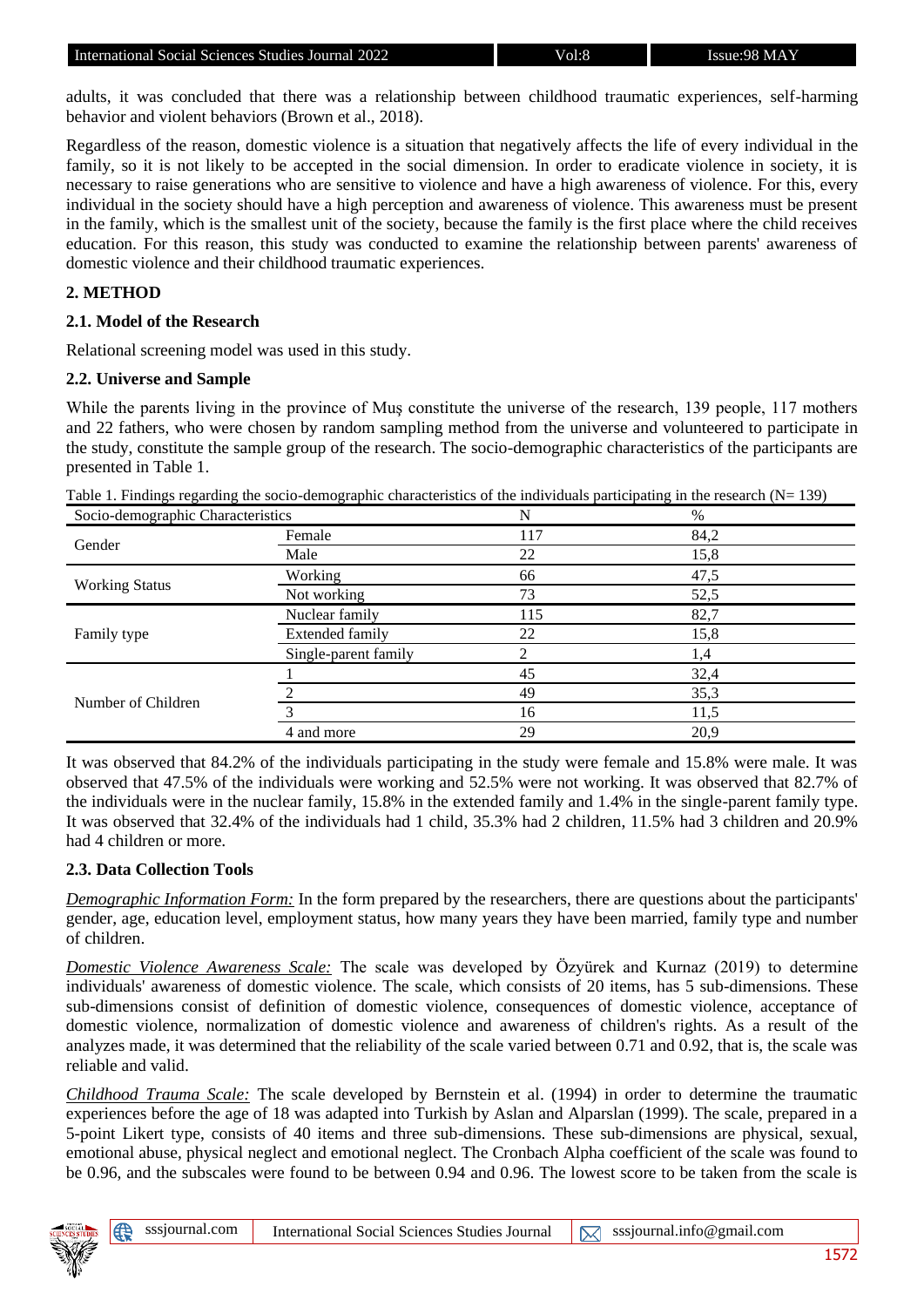adults, it was concluded that there was a relationship between childhood traumatic experiences, self-harming behavior and violent behaviors (Brown et al., 2018).

Regardless of the reason, domestic violence is a situation that negatively affects the life of every individual in the family, so it is not likely to be accepted in the social dimension. In order to eradicate violence in society, it is necessary to raise generations who are sensitive to violence and have a high awareness of violence. For this, every individual in the society should have a high perception and awareness of violence. This awareness must be present in the family, which is the smallest unit of the society, because the family is the first place where the child receives education. For this reason, this study was conducted to examine the relationship between parents' awareness of domestic violence and their childhood traumatic experiences.

## **2. METHOD**

#### **2.1. Model of the Research**

Relational screening model was used in this study.

#### **2.2. Universe and Sample**

While the parents living in the province of Mus constitute the universe of the research, 139 people, 117 mothers and 22 fathers, who were chosen by random sampling method from the universe and volunteered to participate in the study, constitute the sample group of the research. The socio-demographic characteristics of the participants are presented in Table 1.

|--|

| Socio-demographic Characteristics |                        | N   | %    |  |
|-----------------------------------|------------------------|-----|------|--|
| Gender                            | Female                 | 117 | 84,2 |  |
|                                   | Male                   | 22  | 15,8 |  |
|                                   | Working                | 66  | 47,5 |  |
| <b>Working Status</b>             | Not working            | 73  | 52,5 |  |
| Family type                       | Nuclear family         | 115 | 82,7 |  |
|                                   | <b>Extended family</b> | 22  | 15,8 |  |
|                                   | Single-parent family   |     | 1,4  |  |
|                                   |                        | 45  | 32,4 |  |
| Number of Children                |                        | 49  | 35,3 |  |
|                                   |                        | 16  | 11,5 |  |
|                                   | 4 and more             | 29  | 20,9 |  |

It was observed that 84.2% of the individuals participating in the study were female and 15.8% were male. It was observed that 47.5% of the individuals were working and 52.5% were not working. It was observed that 82.7% of the individuals were in the nuclear family, 15.8% in the extended family and 1.4% in the single-parent family type. It was observed that 32.4% of the individuals had 1 child, 35.3% had 2 children, 11.5% had 3 children and 20.9% had 4 children or more.

#### **2.3. Data Collection Tools**

*Demographic Information Form:* In the form prepared by the researchers, there are questions about the participants' gender, age, education level, employment status, how many years they have been married, family type and number of children.

*Domestic Violence Awareness Scale:* The scale was developed by Özyürek and Kurnaz (2019) to determine individuals' awareness of domestic violence. The scale, which consists of 20 items, has 5 sub-dimensions. These sub-dimensions consist of definition of domestic violence, consequences of domestic violence, acceptance of domestic violence, normalization of domestic violence and awareness of children's rights. As a result of the analyzes made, it was determined that the reliability of the scale varied between 0.71 and 0.92, that is, the scale was reliable and valid.

*Childhood Trauma Scale:* The scale developed by Bernstein et al. (1994) in order to determine the traumatic experiences before the age of 18 was adapted into Turkish by Aslan and Alparslan (1999). The scale, prepared in a 5-point Likert type, consists of 40 items and three sub-dimensions. These sub-dimensions are physical, sexual, emotional abuse, physical neglect and emotional neglect. The Cronbach Alpha coefficient of the scale was found to be 0.96, and the subscales were found to be between 0.94 and 0.96. The lowest score to be taken from the scale is

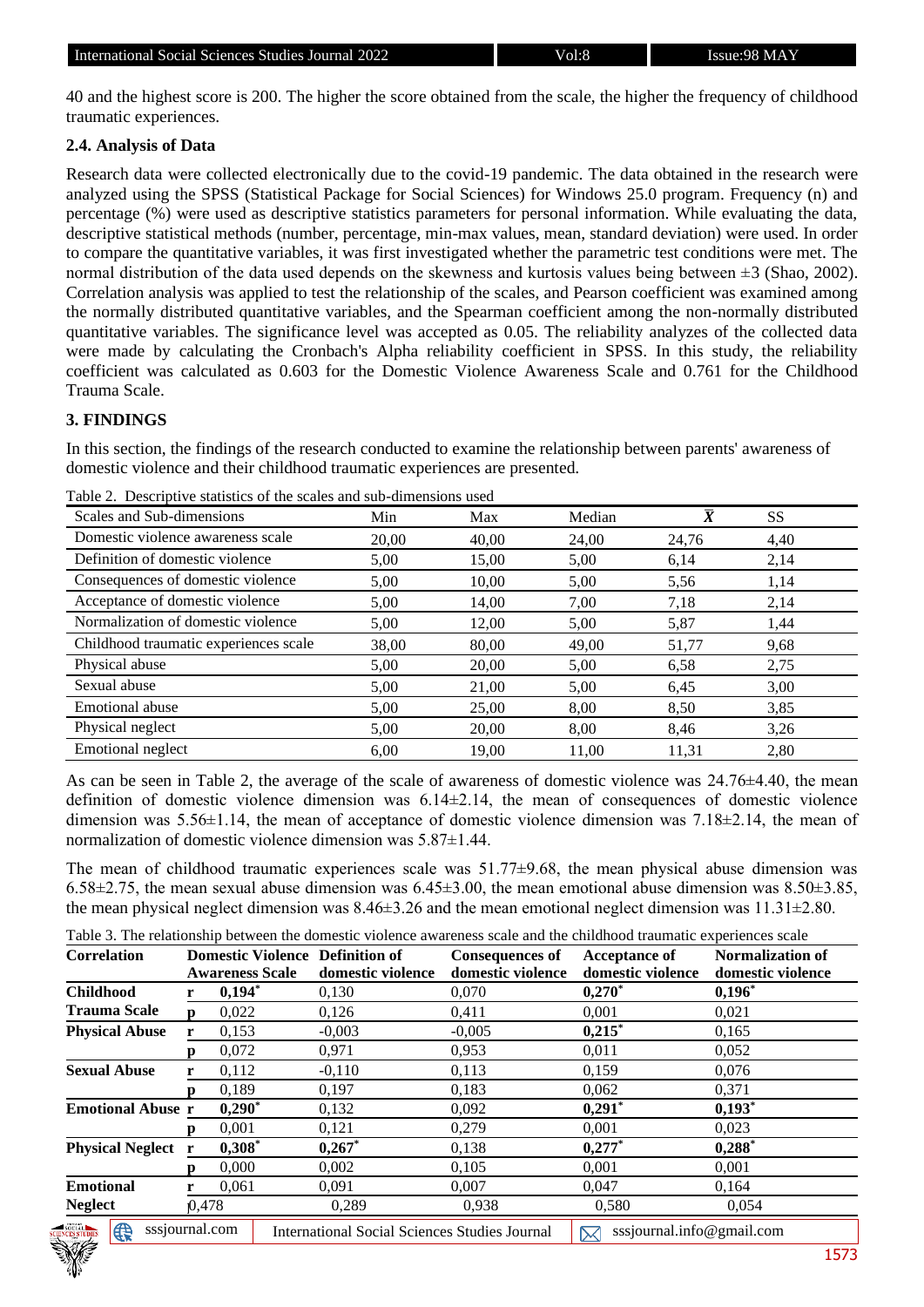40 and the highest score is 200. The higher the score obtained from the scale, the higher the frequency of childhood traumatic experiences.

### **2.4. Analysis of Data**

Research data were collected electronically due to the covid-19 pandemic. The data obtained in the research were analyzed using the SPSS (Statistical Package for Social Sciences) for Windows 25.0 program. Frequency (n) and percentage (%) were used as descriptive statistics parameters for personal information. While evaluating the data, descriptive statistical methods (number, percentage, min-max values, mean, standard deviation) were used. In order to compare the quantitative variables, it was first investigated whether the parametric test conditions were met. The normal distribution of the data used depends on the skewness and kurtosis values being between  $\pm 3$  (Shao, 2002). Correlation analysis was applied to test the relationship of the scales, and Pearson coefficient was examined among the normally distributed quantitative variables, and the Spearman coefficient among the non-normally distributed quantitative variables. The significance level was accepted as 0.05. The reliability analyzes of the collected data were made by calculating the Cronbach's Alpha reliability coefficient in SPSS. In this study, the reliability coefficient was calculated as 0.603 for the Domestic Violence Awareness Scale and 0.761 for the Childhood Trauma Scale.

### **3. FINDINGS**

In this section, the findings of the research conducted to examine the relationship between parents' awareness of domestic violence and their childhood traumatic experiences are presented.

| Scales and Sub-dimensions             | Min   | Max   | Median | $\overline{X}$ | <b>SS</b> |
|---------------------------------------|-------|-------|--------|----------------|-----------|
| Domestic violence awareness scale     | 20.00 | 40,00 | 24,00  | 24,76          | 4,40      |
| Definition of domestic violence       | 5,00  | 15,00 | 5,00   | 6,14           | 2,14      |
| Consequences of domestic violence     | 5,00  | 10.00 | 5,00   | 5,56           | 1,14      |
| Acceptance of domestic violence       | 5,00  | 14,00 | 7,00   | 7,18           | 2,14      |
| Normalization of domestic violence    | 5,00  | 12,00 | 5,00   | 5,87           | 1,44      |
| Childhood traumatic experiences scale | 38,00 | 80,00 | 49,00  | 51,77          | 9,68      |
| Physical abuse                        | 5,00  | 20,00 | 5,00   | 6.58           | 2,75      |
| Sexual abuse                          | 5,00  | 21,00 | 5,00   | 6,45           | 3,00      |
| Emotional abuse                       | 5,00  | 25,00 | 8,00   | 8,50           | 3,85      |
| Physical neglect                      | 5,00  | 20,00 | 8,00   | 8,46           | 3,26      |
| <b>Emotional neglect</b>              | 6.00  | 19.00 | 11.00  | 11.31          | 2,80      |

Table 2. Descriptive statistics of the scales and sub-dimensions used

As can be seen in Table 2, the average of the scale of awareness of domestic violence was 24.76±4.40, the mean definition of domestic violence dimension was 6.14±2.14, the mean of consequences of domestic violence dimension was  $5.56\pm1.14$ , the mean of acceptance of domestic violence dimension was  $7.18\pm2.14$ , the mean of normalization of domestic violence dimension was 5.87±1.44.

The mean of childhood traumatic experiences scale was 51.77±9.68, the mean physical abuse dimension was 6.58 $\pm$ 2.75, the mean sexual abuse dimension was 6.45 $\pm$ 3.00, the mean emotional abuse dimension was 8.50 $\pm$ 3.85, the mean physical neglect dimension was 8.46±3.26 and the mean emotional neglect dimension was 11.31±2.80.

Table 3. The relationship between the domestic violence awareness scale and the childhood traumatic experiences scale

| Correlation                        |       | <b>Domestic Violence Definition of</b><br><b>Awareness Scale</b> | domestic violence                                    | <b>Consequences of</b><br>domestic violence | <b>Acceptance of</b><br>domestic violence | <b>Normalization of</b><br>domestic violence |
|------------------------------------|-------|------------------------------------------------------------------|------------------------------------------------------|---------------------------------------------|-------------------------------------------|----------------------------------------------|
| <b>Childhood</b>                   |       | $0,194*$                                                         | 0,130                                                | 0,070                                       | $0,270^*$                                 | $0,196^*$                                    |
| <b>Trauma Scale</b>                | n     | 0,022                                                            | 0,126                                                | 0,411                                       | 0,001                                     | 0,021                                        |
| <b>Physical Abuse</b>              |       | 0,153                                                            | $-0,003$                                             | $-0,005$                                    | $0,215$ *                                 | 0,165                                        |
|                                    | n     | 0,072                                                            | 0.971                                                | 0,953                                       | 0,011                                     | 0,052                                        |
| <b>Sexual Abuse</b>                |       | 0.112                                                            | $-0.110$                                             | 0.113                                       | 0.159                                     | 0.076                                        |
|                                    |       | 0,189                                                            | 0,197                                                | 0.183                                       | 0.062                                     | 0,371                                        |
| <b>Emotional Abuse r</b>           |       | $0,290^*$                                                        | 0,132                                                | 0,092                                       | $0,291$ *                                 | $0,193^*$                                    |
|                                    |       | 0.001                                                            | 0,121                                                | 0,279                                       | 0.001                                     | 0,023                                        |
| <b>Physical Neglect</b> r          |       | $0,308^*$                                                        | $0,267$ *                                            | 0,138                                       | 0,277                                     | $0,288$ <sup>*</sup>                         |
|                                    |       | 0.000                                                            | 0,002                                                | 0,105                                       | 0,001                                     | 0.001                                        |
| <b>Emotional</b>                   |       | 0,061                                                            | 0,091                                                | 0,007                                       | 0,047                                     | 0,164                                        |
| <b>Neglect</b>                     | 0,478 |                                                                  | 0,289                                                | 0,938                                       | 0,580                                     | 0,054                                        |
| SOCIAL NEWS<br>⊕<br>sssjournal.com |       |                                                                  | <b>International Social Sciences Studies Journal</b> |                                             | sssjournal.info@gmail.com                 |                                              |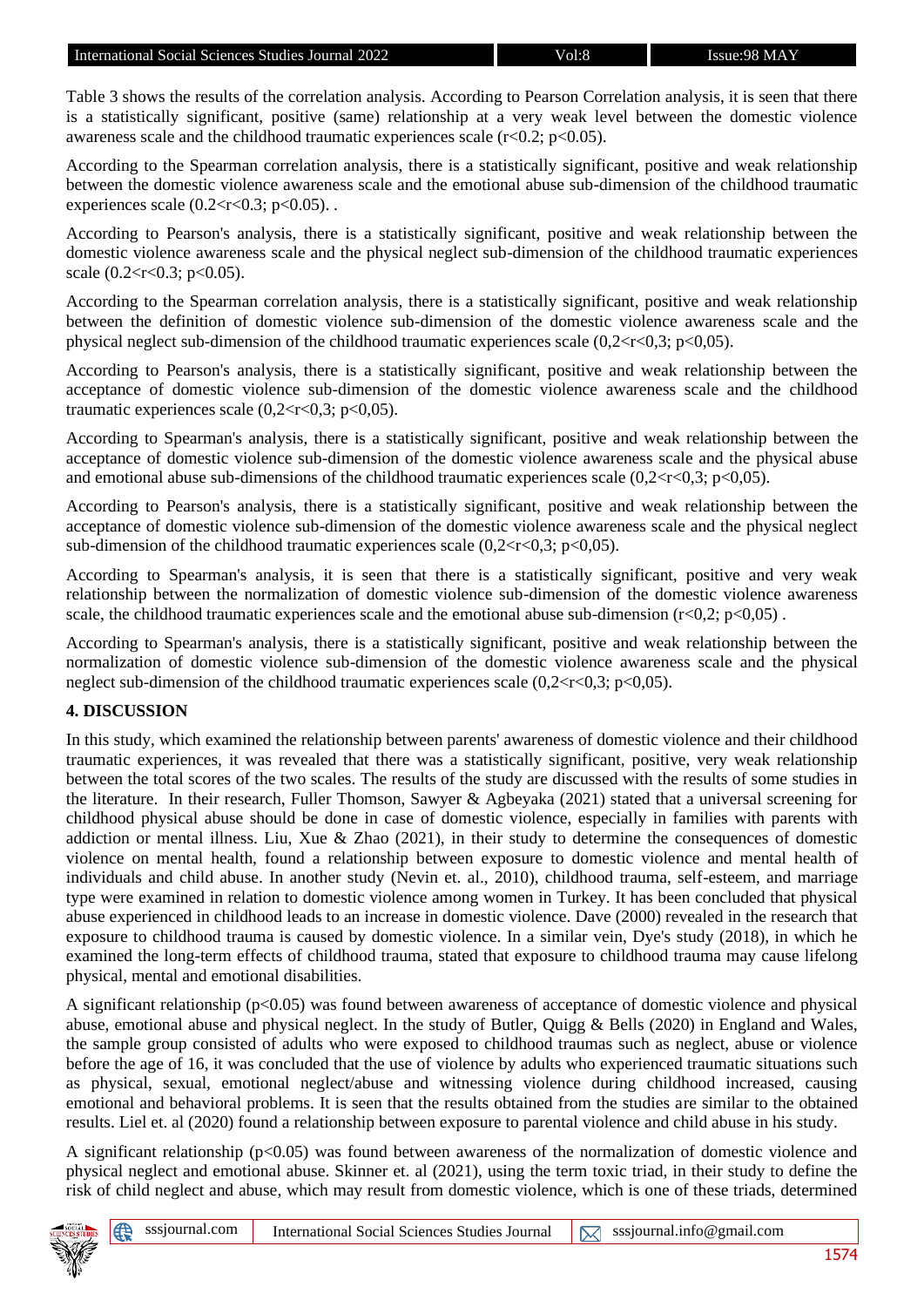Table 3 shows the results of the correlation analysis. According to Pearson Correlation analysis, it is seen that there is a statistically significant, positive (same) relationship at a very weak level between the domestic violence awareness scale and the childhood traumatic experiences scale  $(r<0.2; p<0.05)$ .

According to the Spearman correlation analysis, there is a statistically significant, positive and weak relationship between the domestic violence awareness scale and the emotional abuse sub-dimension of the childhood traumatic experiences scale  $(0.2 < r < 0.3; p < 0.05)$ .

According to Pearson's analysis, there is a statistically significant, positive and weak relationship between the domestic violence awareness scale and the physical neglect sub-dimension of the childhood traumatic experiences scale  $(0.2 < r < 0.3$ ; p $< 0.05$ ).

According to the Spearman correlation analysis, there is a statistically significant, positive and weak relationship between the definition of domestic violence sub-dimension of the domestic violence awareness scale and the physical neglect sub-dimension of the childhood traumatic experiences scale  $(0.2 < r < 0.3; p < 0.05)$ .

According to Pearson's analysis, there is a statistically significant, positive and weak relationship between the acceptance of domestic violence sub-dimension of the domestic violence awareness scale and the childhood traumatic experiences scale  $(0,2 < r < 0,3; \, p < 0,05)$ .

According to Spearman's analysis, there is a statistically significant, positive and weak relationship between the acceptance of domestic violence sub-dimension of the domestic violence awareness scale and the physical abuse and emotional abuse sub-dimensions of the childhood traumatic experiences scale  $(0,2\lt r\lt 0,3; p\lt 0,05)$ .

According to Pearson's analysis, there is a statistically significant, positive and weak relationship between the acceptance of domestic violence sub-dimension of the domestic violence awareness scale and the physical neglect sub-dimension of the childhood traumatic experiences scale  $(0,2 < r < 0,3; p < 0,05)$ .

According to Spearman's analysis, it is seen that there is a statistically significant, positive and very weak relationship between the normalization of domestic violence sub-dimension of the domestic violence awareness scale, the childhood traumatic experiences scale and the emotional abuse sub-dimension  $(r<0.2; p<0.05)$ .

According to Spearman's analysis, there is a statistically significant, positive and weak relationship between the normalization of domestic violence sub-dimension of the domestic violence awareness scale and the physical neglect sub-dimension of the childhood traumatic experiences scale  $(0,2 < r < 0,3; p < 0,05)$ .

# **4. DISCUSSION**

In this study, which examined the relationship between parents' awareness of domestic violence and their childhood traumatic experiences, it was revealed that there was a statistically significant, positive, very weak relationship between the total scores of the two scales. The results of the study are discussed with the results of some studies in the literature. In their research, Fuller Thomson, Sawyer & Agbeyaka (2021) stated that a universal screening for childhood physical abuse should be done in case of domestic violence, especially in families with parents with addiction or mental illness. Liu, Xue & Zhao (2021), in their study to determine the consequences of domestic violence on mental health, found a relationship between exposure to domestic violence and mental health of individuals and child abuse. In another study (Nevin et. al., 2010), childhood trauma, self-esteem, and marriage type were examined in relation to domestic violence among women in Turkey. It has been concluded that physical abuse experienced in childhood leads to an increase in domestic violence. Dave (2000) revealed in the research that exposure to childhood trauma is caused by domestic violence. In a similar vein, Dye's study (2018), in which he examined the long-term effects of childhood trauma, stated that exposure to childhood trauma may cause lifelong physical, mental and emotional disabilities.

A significant relationship ( $p<0.05$ ) was found between awareness of acceptance of domestic violence and physical abuse, emotional abuse and physical neglect. In the study of Butler, Quigg & Bells (2020) in England and Wales, the sample group consisted of adults who were exposed to childhood traumas such as neglect, abuse or violence before the age of 16, it was concluded that the use of violence by adults who experienced traumatic situations such as physical, sexual, emotional neglect/abuse and witnessing violence during childhood increased, causing emotional and behavioral problems. It is seen that the results obtained from the studies are similar to the obtained results. Liel et. al (2020) found a relationship between exposure to parental violence and child abuse in his study.

A significant relationship ( $p<0.05$ ) was found between awareness of the normalization of domestic violence and physical neglect and emotional abuse. Skinner et. al (2021), using the term toxic triad, in their study to define the risk of child neglect and abuse, which may result from domestic violence, which is one of these triads, determined

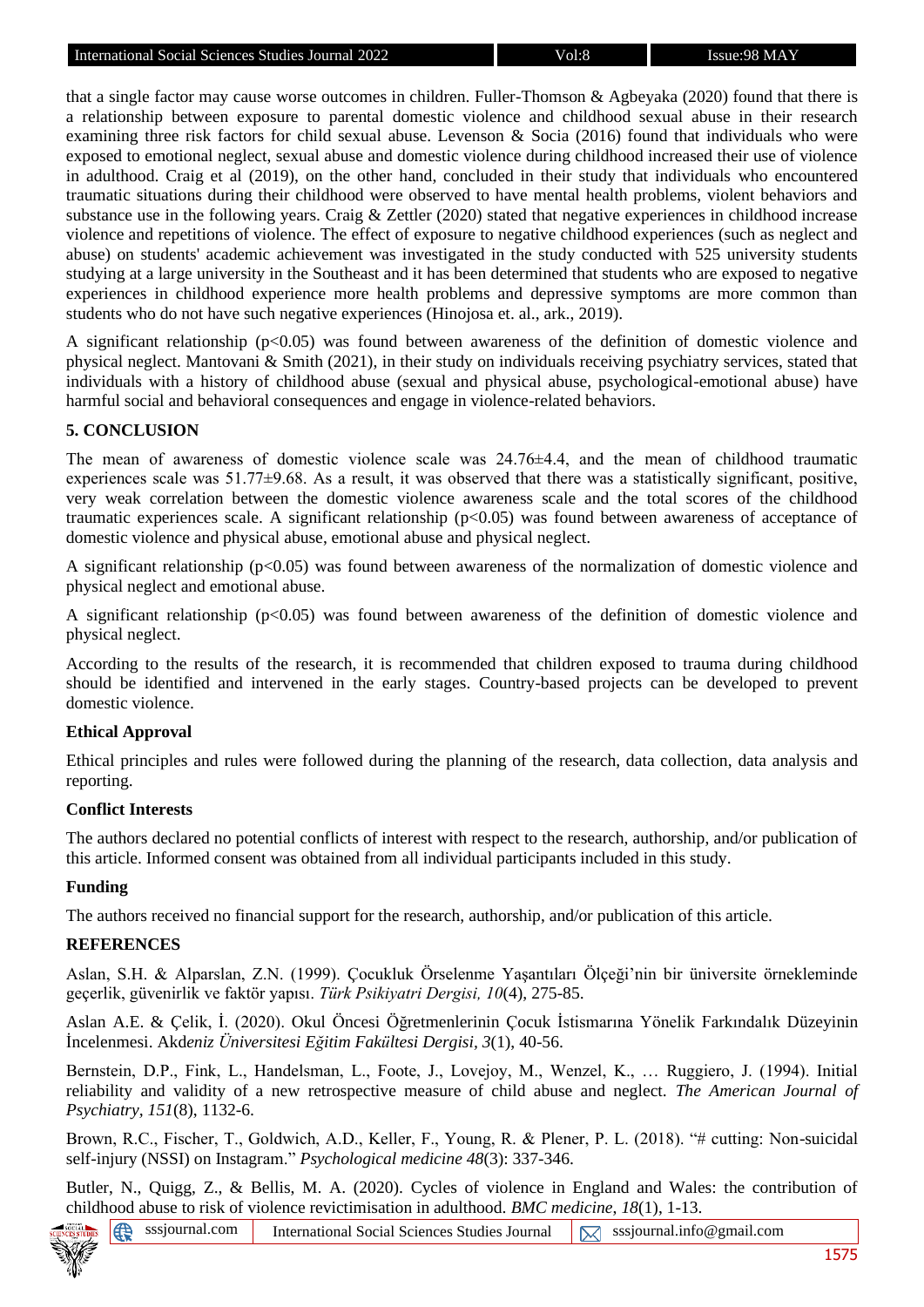that a single factor may cause worse outcomes in children. Fuller-Thomson & Agbeyaka (2020) found that there is a relationship between exposure to parental domestic violence and childhood sexual abuse in their research examining three risk factors for child sexual abuse. Levenson & Socia (2016) found that individuals who were exposed to emotional neglect, sexual abuse and domestic violence during childhood increased their use of violence in adulthood. Craig et al (2019), on the other hand, concluded in their study that individuals who encountered traumatic situations during their childhood were observed to have mental health problems, violent behaviors and substance use in the following years. Craig & Zettler (2020) stated that negative experiences in childhood increase violence and repetitions of violence. The effect of exposure to negative childhood experiences (such as neglect and abuse) on students' academic achievement was investigated in the study conducted with 525 university students studying at a large university in the Southeast and it has been determined that students who are exposed to negative experiences in childhood experience more health problems and depressive symptoms are more common than students who do not have such negative experiences (Hinojosa et. al., ark., 2019).

A significant relationship (p<0.05) was found between awareness of the definition of domestic violence and physical neglect. Mantovani & Smith (2021), in their study on individuals receiving psychiatry services, stated that individuals with a history of childhood abuse (sexual and physical abuse, psychological-emotional abuse) have harmful social and behavioral consequences and engage in violence-related behaviors.

### **5. CONCLUSION**

The mean of awareness of domestic violence scale was  $24.76\pm4.4$ , and the mean of childhood traumatic experiences scale was 51.77±9.68. As a result, it was observed that there was a statistically significant, positive, very weak correlation between the domestic violence awareness scale and the total scores of the childhood traumatic experiences scale. A significant relationship  $(p<0.05)$  was found between awareness of acceptance of domestic violence and physical abuse, emotional abuse and physical neglect.

A significant relationship ( $p<0.05$ ) was found between awareness of the normalization of domestic violence and physical neglect and emotional abuse.

A significant relationship ( $p<0.05$ ) was found between awareness of the definition of domestic violence and physical neglect.

According to the results of the research, it is recommended that children exposed to trauma during childhood should be identified and intervened in the early stages. Country-based projects can be developed to prevent domestic violence.

#### **Ethical Approval**

Ethical principles and rules were followed during the planning of the research, data collection, data analysis and reporting.

#### **Conflict Interests**

The authors declared no potential conflicts of interest with respect to the research, authorship, and/or publication of this article. Informed consent was obtained from all individual participants included in this study.

#### **Funding**

The authors received no financial support for the research, authorship, and/or publication of this article.

#### **REFERENCES**

Aslan, S.H. & Alparslan, Z.N. (1999). Çocukluk Örselenme Yaşantıları Ölçeği'nin bir üniversite örnekleminde geçerlik, güvenirlik ve faktör yapısı. *Türk Psikiyatri Dergisi, 10*(4), 275-85.

Aslan A.E. & Çelik, İ. (2020). Okul Öncesi Öğretmenlerinin Çocuk İstismarına Yönelik Farkındalık Düzeyinin İncelenmesi. Akd*eniz Üniversitesi Eğitim Fakültesi Dergisi, 3*(1), 40-56.

Bernstein, D.P., Fink, L., Handelsman, L., Foote, J., Lovejoy, M., Wenzel, K., … Ruggiero, J. (1994). Initial reliability and validity of a new retrospective measure of child abuse and neglect. *The American Journal of Psychiatry, 151*(8), 1132-6.

Brown, R.C., Fischer, T., Goldwich, A.D., Keller, F., Young, R. & Plener, P. L. (2018). "# cutting: Non-suicidal self-injury (NSSI) on Instagram." *Psychological medicine 48*(3): 337-346.

Butler, N., Quigg, Z., & Bellis, M. A. (2020). Cycles of violence in England and Wales: the contribution of childhood abuse to risk of violence revictimisation in adulthood. *BMC medicine*, *18*(1), 1-13.

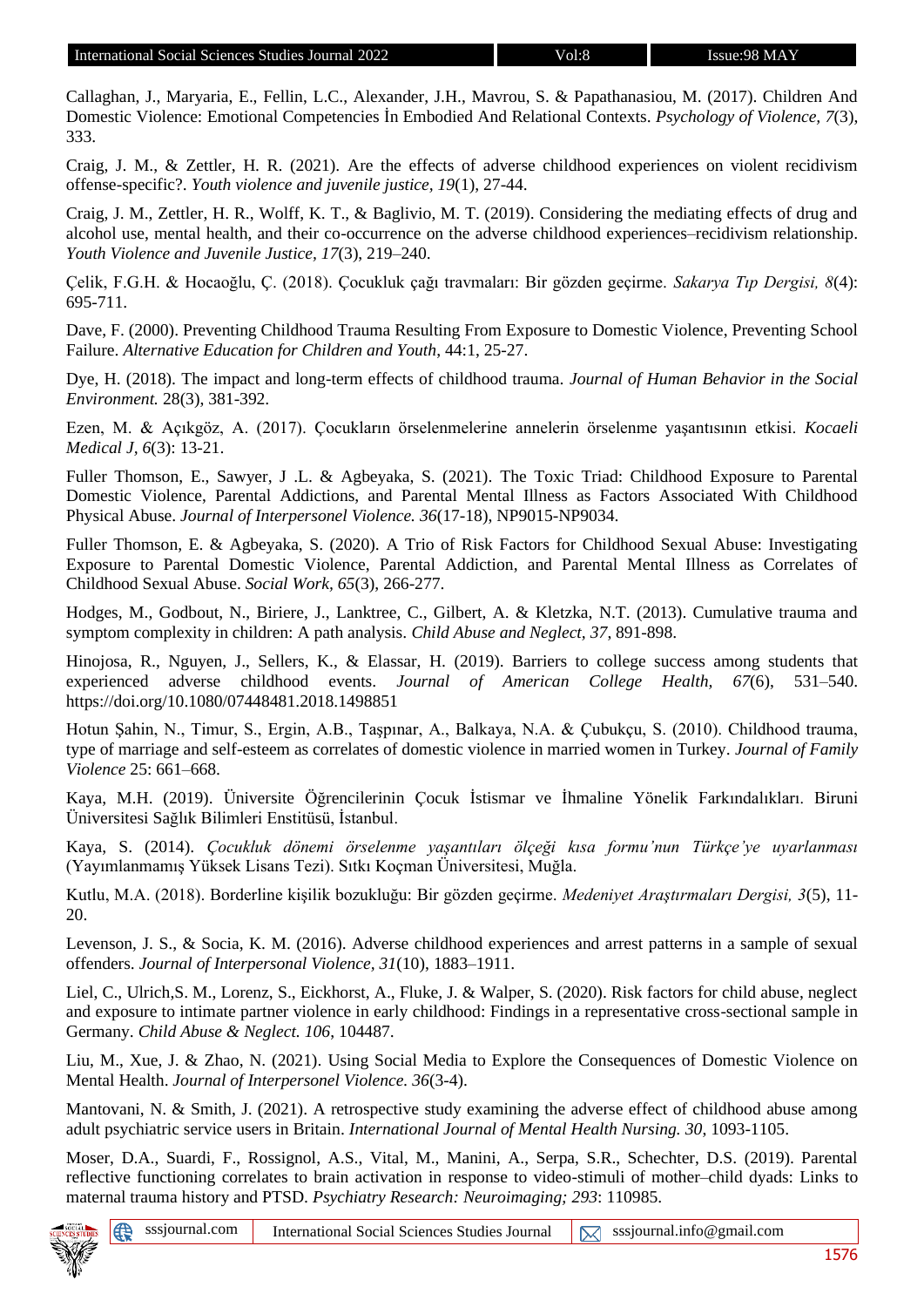Callaghan, J., Maryaria, E., Fellin, L.C., Alexander, J.H., Mavrou, S. & Papathanasiou, M. (2017). Children And Domestic Violence: Emotional Competencies İn Embodied And Relational Contexts. *Psychology of Violence, 7*(3), 333.

Craig, J. M., & Zettler, H. R. (2021). Are the effects of adverse childhood experiences on violent recidivism offense-specific?. *Youth violence and juvenile justice, 19*(1), 27-44.

Craig, J. M., Zettler, H. R., Wolff, K. T., & Baglivio, M. T. (2019). Considering the mediating effects of drug and alcohol use, mental health, and their co-occurrence on the adverse childhood experiences–recidivism relationship. *Youth Violence and Juvenile Justice, 17*(3), 219–240.

Çelik, F.G.H. & Hocaoğlu, Ç. (2018). Çocukluk çağı travmaları: Bir gözden geçirme. *Sakarya Tıp Dergisi, 8*(4): 695-711.

Dave, F. (2000). Preventing Childhood Trauma Resulting From Exposure to Domestic Violence, Preventing School Failure. *Alternative Education for Children and Youth*, 44:1, 25-27.

Dye, H. (2018). The impact and long-term effects of childhood trauma. *Journal of Human Behavior in the Social Environment.* 28(3), 381-392.

Ezen, M. & Açıkgöz, A. (2017). Çocukların örselenmelerine annelerin örselenme yaşantısının etkisi. *Kocaeli Medical J, 6*(3): 13-21.

Fuller Thomson, E., Sawyer, J .L. & Agbeyaka, S. (2021). The Toxic Triad: Childhood Exposure to Parental Domestic Violence, Parental Addictions, and Parental Mental Illness as Factors Associated With Childhood Physical Abuse. *Journal of Interpersonel Violence. 36*(17-18), NP9015-NP9034.

Fuller Thomson, E. & Agbeyaka, S. (2020). A Trio of Risk Factors for Childhood Sexual Abuse: Investigating Exposure to Parental Domestic Violence, Parental Addiction, and Parental Mental Illness as Correlates of Childhood Sexual Abuse. *Social Work, 65*(3), 266-277.

Hodges, M., Godbout, N., Biriere, J., Lanktree, C., Gilbert, A. & Kletzka, N.T. (2013). Cumulative trauma and symptom complexity in children: A path analysis. *Child Abuse and Neglect, 37*, 891-898.

Hinojosa, R., Nguyen, J., Sellers, K., & Elassar, H. (2019). Barriers to college success among students that experienced adverse childhood events. *Journal of American College Health, 67*(6), 531–540. https://doi.org/10.1080/07448481.2018.1498851

Hotun Şahin, N., Timur, S., Ergin, A.B., Taşpınar, A., Balkaya, N.A. & Çubukçu, S. (2010). Childhood trauma, type of marriage and self-esteem as correlates of domestic violence in married women in Turkey. *Journal of Family Violence* 25: 661–668.

Kaya, M.H. (2019). Üniversite Öğrencilerinin Çocuk İstismar ve İhmaline Yönelik Farkındalıkları. Biruni Üniversitesi Sağlık Bilimleri Enstitüsü, İstanbul.

Kaya, S. (2014). *Çocukluk dönemi örselenme yaşantıları ölçeği kısa formu'nun Türkçe'ye uyarlanması*  (Yayımlanmamış Yüksek Lisans Tezi). Sıtkı Koçman Üniversitesi, Muğla.

Kutlu, M.A. (2018). Borderline kişilik bozukluğu: Bir gözden geçirme. *Medeniyet Araştırmaları Dergisi, 3*(5), 11- 20.

Levenson, J. S., & Socia, K. M. (2016). Adverse childhood experiences and arrest patterns in a sample of sexual offenders. *Journal of Interpersonal Violence, 31*(10), 1883–1911.

Liel, C., Ulrich,S. M., Lorenz, S., Eickhorst, A., Fluke, J. & Walper, S. (2020). Risk factors for child abuse, neglect and exposure to intimate partner violence in early childhood: Findings in a representative cross-sectional sample in Germany. *Child Abuse & Neglect. 106*, 104487.

Liu, M., Xue, J. & Zhao, N. (2021). Using Social Media to Explore the Consequences of Domestic Violence on Mental Health. *Journal of Interpersonel Violence. 36*(3-4).

Mantovani, N. & Smith, J. (2021). A retrospective study examining the adverse effect of childhood abuse among adult psychiatric service users in Britain. *International Journal of Mental Health Nursing. 30*, 1093-1105.

Moser, D.A., Suardi, F., Rossignol, A.S., Vital, M., Manini, A., Serpa, S.R., Schechter, D.S. (2019). Parental reflective functioning correlates to brain activation in response to video-stimuli of mother–child dyads: Links to maternal trauma history and PTSD. *Psychiatry Research: Neuroimaging; 293*: 110985.



⊕